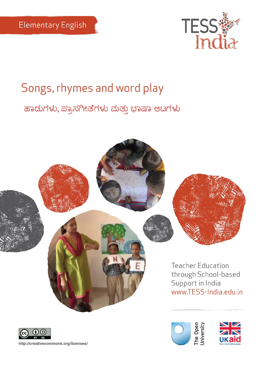

# Songs, rhymes and word play ಹಾಡುಗಳು, ಪ್ರಾಸಗೀತೆಗಳು ಮತ್ತು ಭಾಷಾ ಆಟಗಳು





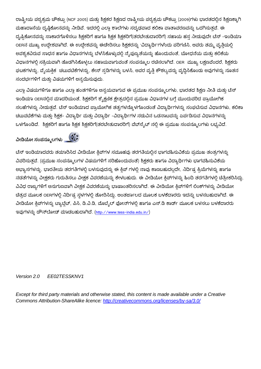ರಾಷ್ಟ್ರೀಯ ಪಠ್ಯಕ್ರಮ ಚೌಕಟ್ಟು (NCF 2005) ಮತ್ತು ಶಿಕ್ಷಕರ ಶಿಕ್ಷಣದ ರಾಷ್ಟ್ರೀಯ ಪಠ್ಯಕ್ರಮ ಚೌಕಟ್ಟು (2009)ಗಳು ಭಾರತದಲ್ಲಿನ ಶಿಕ್ಷಣಕ್ಕಾಗಿ ಮಹಾದಾಸೆಯ ದೃಷ್ಠಿಕೋನವನ್ನು ನೀಡಿವೆ. ಇದರಲ್ಲಿ ಎಲ್ಲಾ ಶಾಲೆಗಳು ಸದೃಢವಾದ ಕಲಿಕಾ ವಾತಾವರಣವನ್ನು ಒದಗಿಸುತ್ತವೆ. ಈ ದೃಷ್ಟಿಕೋನವನ್ನು ಸಾಕಾರಗೊಳಿಸಲು ಶಿಕ್ಷಕರಿಗೆ ಹಾಗೂ ಶಿಕ್ಷಕ ಶಿಕ್ಷಕರಿಗೆ(ತರಬೇತುದಾರರಿಗೆ) ಸಹಾಯ ಹಸ ನೀಡುವುದೇ ಟೆಸ್ –ಇಂಡಿಯಾ OERನ ಮುಖ್ಯ ಉದ್ದೇಶವಾಗಿದೆ. ಈ ಉದ್ದೇಶವನ್ನು ಈಡೇರಿಸಲು ಶಿಕ್ಷಕರನ್ನು 'ವಿದ್ಯಾರ್ಥಿ'ಗಳೆಂದು ಪರಿಗಣಿಸಿ, ಅವರು ತಮ್ಮ ವೃತ್ತಿಯಲ್ಲಿ ಅವಶ್ಯಕವಿರುವ ಸಾಧನ ಹಾಗೂ ವಿಧಾನಗಳನ್ನು ಬೆಳೆಸಿಕೊಳ್ಳುವಲ್ಲಿ ನೈಪುಣ್ಯತೆಯನ್ನು ಹೊಂದುವಂತೆ, ಬೋಧನೆಯ ಮತ್ತು ಕಲಿಕೆಯ ವಿಧಾನಗಳಲ್ಲಿ ಸಕ್ರಿಯವಾಗಿ ತೊಡಗಿಸಿಕೊಳ್ಳಲು ಸಹಾಯವಾಗುವಂತೆ ಸಂಪನ್ಮೂಲ ರಚಿಸಲಾಗಿದೆ. OER ಮುಖ್ಯ ಲಕ್ಷಣವೆಂದರೆ, ಶಿಕ್ಷಕರು ಘಟಕಗಳನ್ನು, ವೈಯಕ್ತಿಕ್ ಚಟುವಟಿಕೆಗಳನ್ನು, ಕೇಸ್ ಸ್ಪಡಿಗಳನ್ನು ಬಳಸಿ, ಅವರ ವೃತ್ತಿ ಕೌಶಲ್ಯವನ್ನು ವೃದ್ಧಿಸಿಕೊಂಡು ಅವುಗಳನ್ನು ನೂತನ ಸಂದರ್ಭಗಳಿಗೆ ಮತು ವಿಷಯಗಳಿಗೆ ಅನ್ವಯಿಸುವುದು.

ಎಲ್ಲಾ ವಿಷಯಗಳಿಗೂ ಹಾಗೂ ಎಲ್ಲಾ ಹಂತಗಳಿಗೂ ಅನ್ವಯವಾಗುವ ಈ ಪ್ರಮುಖ ಸಂಪನ್ಮೂಲಗಳು, ಭಾರತದ ಶಿಕ್ಷಣ ನೀತಿ ಮತ್ತು ಟೆಸ್ ಇಂಡಿಯಾ OERನಲ್ಲಿನ ಮಾದರಿಯಂತೆ, ಶಿಕ್ಷಕರಿಗೆ ಶೈಕ್ಷಣಿಕ ಕ್ಷೇತ್ರದಲ್ಲಿನ ಪ್ರಮುಖ ವಿಧಾನಗಳ ಬಗ್ಗೆ ಮುಂದುವರಿದ ಪ್ರಾಯೋಗಿಕ ಸಲಹೆಗಳನ್ನು ನೀಡುತ್ತವೆ. ಟೆಸ್ ಇಂಡಿಯಾದ ಪ್ರಾಯೋಗಿಕ ತತ್ವಗಳನ್ನೊಳಗೊಂಡಂತೆ ವಿದ್ಯಾರ್ಥಿಗಳನ್ನು ಸಂಘಟಿಸುವ ವಿಧಾನಗಳು, ಕಲಿಕಾ ಚಟುವಟಿಕೆಗಳು ಮತ್ತು ಶಿಕ್ಷಕ- ವಿದ್ಯಾರ್ಥಿ ಮತ್ತು ವಿದ್ಯಾರ್ಥಿ –ವಿದ್ಯಾರ್ಥಿಗಳ ನಡುವಿನ ಒಡನಾಟವನ್ನು ಏರ್ಪಡಿಸುವ ವಿಧಾನಗಳನ್ನು ಒಳಗೊಂಡಿದೆ. ಶಿಕ್ಷಕರಿಗೆ ಹಾಗೂ ಶಿಕ್ಷಕ ಶಿಕ್ಷಕರಿಗೆ(ತರಬೇತುದಾರರಿಗೆ) ವೆಬ್ಸೈಟ್ ನಲ್ಲಿ ಈ ಪ್ರಮುಖ ಸಂಪನ್ಮೂಲಗಳು ಲಭ್ಯವಿದೆ.

**ವೀಡಿಯೀ ಸಂಪನ್ಮೂಲಗಳು**



ಟೆಸ್ ಇಂಡಿಯಾದವರು ತಯಾರಿಸಿದ ವೀಡಿಯೋ ಕ್ತಿಪ್ಗಳ ಸಮೂಹವು ತರಗತಿಯಲ್ಲಿನ ಭಾಗವಹಿಸುವಿಕೆಯ ಪ್ರಮುಖ ತಂತ್ರಗಳನ್ನು ವಿವರಿಸುತವೆ. (ಪ್ರಮುಖ ಸಂಪನ್ಮೂಲಗಳ ವಿಷಯಗಳಿಗೆ ಸರಿಹೊಂದುವಂತೆ) ಶಿಕ್ಷಕರು ಹಾಗೂ ವಿದ್ಯಾರ್ಥಿಗಳು ಭಾಗವಹಿಸುವಿಕೆಯ ಅಭ್ಯಾಸಗಳನ್ನು, ಭಾರತೀಯ ತರಗತಿಗಳಲ್ಲಿ ಬಳಸುವುದನ್ನು ಈ ಕ್ಲಿಪ್ ಗಳಲ್ಲಿ ನಾವು ಕಾಣಬಹುದಲ್ಲದೇ, ನಿರ್ದಿಷ್ಠ ಕ್ರಿಯೆಗಳನ್ನು ಹಾಗೂ ನಡತೆಗಳನ್ನು ವೀಕ್ಷಕರು ಗುರುತಿಸಲು ವೀಕ್ಷಕ ವಿವರಣೆಯನ್ನು ಕೇಳಬಹುದು. ಈ ವೀಡಿಯೋ ಕ್ತಿಪ್ಗಳನ್ನು ಹಿಂದಿ ತರಗತಿಗಳಲ್ಲಿ ಚಿತ್ರೀಕರಿಸಿದ್ದು, ವಿವಿಧ ರಾಜ್ಯಗಳಿಗೆ ಅನುಗುಣವಾಗಿ ವೀಕ್ಷಕ ವಿವರಣೆಯನ್ನು ಭಾಷಾಂತರಿಸಲಾಗಿದೆ. ಈ ವೀಡಿಯೋ ಕ್ತಿಪ್ಗಳಿಗೆ ಲಿಂಕ್ಗಳನ್ನು ವೀಡಿಯೋ ಚಿತ್ರದ ಮೂಲಕ OERಗಳಲ್ಲಿ ನಿರ್ದಿಷ್ಟ ಸ್ಥಳಗಳಲ್ಲಿ ತೋರಿಸಿದ್ದು, ಅಂತರ್ಜಾಲದ ಮೂಲಕ ಬಳಕೆದಾರರು ಇದನ್ನು ಬಳಸಬಹುದಾಗಿದೆ. ಈ ವೀಡಿಯೋ ಕ್ಲಿಪ್ಗಳನ್ನು ಟ್ಯಾಬ್ಲೆಟ್, ಪಿಸಿ, ಡಿ.ವಿ.ಡಿ, ಮೊಬ್ಬೆಲ್ ಫೋನ್ಗಳಲ್ಲಿ ಹಾಗೂ ಎಸ್.ಡಿ ಕಾರ್ಡ್ ಮೂಲಕ ಬಳಸಲು ಬಳಕೆದಾರರು ಇವುಗಳನ್ನು ಡೌನ್ಲೋಡ್ ಮಾಡಬಹುದಾಗಿದೆ. ([http://www.tess-india.edu.in/\)](http://www.tess-india.edu.in/)

#### *Version 2.0 EE02TESSKNV1*

*Except for third party materials and otherwise stated, this content is made available under a Creative Commons Attribution-ShareAlike licence:<http://creativecommons.org/licenses/by-sa/3.0/>*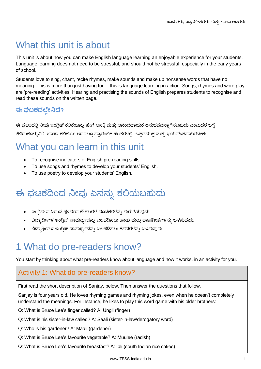## What this unit is about

This unit is about how you can make English language learning an enjoyable experience for your students. Language learning does not need to be stressful, and should not be stressful, especially in the early years of school.

Students love to sing, chant, recite rhymes, make sounds and make up nonsense words that have no meaning. This is more than just having fun – this is language learning in action. Songs, rhymes and word play are 'pre-reading' activities. Hearing and practising the sounds of English prepares students to recognise and read these sounds on the written page.

## **ಈ ಘಟಕದಲ್ಲೀನಿದ್?**

ಈ ಘಟಕದಲ್ಲಿ ನೀವು ಇಂಗ್ಲಿಷ್ ಕಲಿಕೆಯನ್ನು ಹೇಗೆ ಆಸಕ್ತಿ ಮತ್ತು ಆನಂದದಾಯಕ ಅನುಭವವನ್ನಾಗಿಸಬಹುದು ಎಂಬುದರ ಬಗ್ಗೆ ತಿಳಿದುಕೊಳ್ಳುವಿರಿ. ಭಾಷಾ ಕಲಿಕೆಯು ಅದರಲ್ಲೂ ಪ್ರಾರಂಭಿಕ ಹಂತಗಳಲ್ಲಿ, ಒತ್ತಡಮುಕ್ತ ಮತ್ತು ಭಯರಹಿತವಾಗಿರಬೇಕು.

## What you can learn in this unit

- To recognise indicators of English pre-reading skills.
- To use songs and rhymes to develop your students' English.
- To use poetry to develop your students' English.

## ಈ ಘಟಕದಿಂದ ನೀವು ಏನನ್ನು ಕಲಿಯಬಹುದು

- ಇಂಗ್ಲಿಷ್ ನ ಓದುವ ಪೂರ್ವದ ಕೌಶಲಗಳ ಸೂಚಕಗಳನ್ನು ಗುರುತಿಸುವುದು.
- ವಿದ್ಯಾರ್ಥಿಗಳ ಇಂಗ್ಲಿಷ್ ಸಾಮರ್ಥ್ಯವನ್ನು ಬಲಪಡಿಸಲು ಹಾಡು ಮತ್ತು ಪ್ರಾಸಗೀತೆಗಳನ್ನು ಬಳಸುವುದು.
- ವಿದ್ಯಾರ್ಥಿಗಳ ಇಂಗ್ಲಿಷ್ ಸಾಮರ್ಥ್ಯವನ್ನು ಬಲಪಡಿಸಲು ಕವನಗಳನ್ನು ಬಳಸುವುದು.

## 1 What do pre-readers know?

You start by thinking about what pre-readers know about language and how it works, in an activity for you.

### Activity 1: What do pre-readers know?

First read the short description of Sanjay, below. Then answer the questions that follow.

Sanjay is four years old. He loves rhyming games and rhyming jokes, even when he doesn't completely understand the meanings. For instance, he likes to play this word game with his older brothers:

Q: What is Bruce Lee's finger called? A: Ungli (finger)

- Q: What is his sister-in-law called? A: Saali (sister-in-law/derogatory word)
- Q: Who is his gardener? A: Maali (gardener)
- Q: What is Bruce Lee's favourite vegetable? A: Muulee (radish)
- Q: What is Bruce Lee's favourite breakfast? A: Idli (south Indian rice cakes)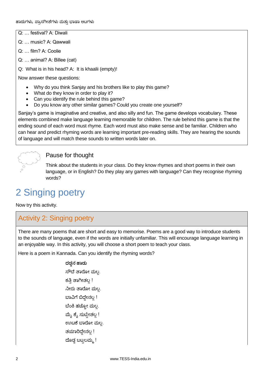- Q: … festival? A: Diwali
- Q: … music? A: Qawwali
- Q: film? A: Coolie
- Q: … animal? A: Billee (cat)
- Q: What is in his head? A: It is khaalii (empty)!

Now answer these questions:

- Why do you think Sanjay and his brothers like to play this game?
- What do they know in order to play it?
- Can you identify the rule behind this game?
- Do you know any other similar games? Could you create one yourself?

Sanjay's game is imaginative and creative, and also silly and fun. The game develops vocabulary. These elements combined make language learning memorable for children. The rule behind this game is that the ending sound of each word must rhyme. Each word must also make sense and be familiar. Children who can hear and predict rhyming words are learning important pre-reading skills. They are hearing the sounds of language and will match these sounds to written words later on.

## Pause for thought

Think about the students in your class. Do they know rhymes and short poems in their own language, or in English? Do they play any games with language? Can they recognise rhyming words?

## 2 Singing poetry

Now try this activity.

## Activity 2: Singing poetry

There are many poems that are short and easy to memorise. Poems are a good way to introduce students to the sounds of language, even if the words are initially unfamiliar. This will encourage language learning in an enjoyable way. In this activity, you will choose a short poem to teach your class.

Here is a poem in Kannada. Can you identify the rhyming words?

**ದಡ್ಡನ್ ಹಡ್ು** ಸೌದೆ ತಾರೋ ಮಲ. ಕತಿ ತಾಗೀತಲ್ಲ! ನೀರು ತಾರೋ ಮಲ್ಲ ಬಾವಿಗೆ ಬಿದ್ದೇನಲ್ಲ ! ಬೆಂಕಿ ಹಚ್ಪೋ ಮಲ್ಲ ಮ್ಯೆ ಕ್ಯೆ ಸುಟ್ಟೀತಲ್ಲ ! ಊಟಕೆ ಬಾರೋ ಮಲ್ಲ. ತಯಾರಿದ್ದೇನಲ್ಲ! ದೊಡ್ಡ ಬಟ್ಟಲಮ್ಮ !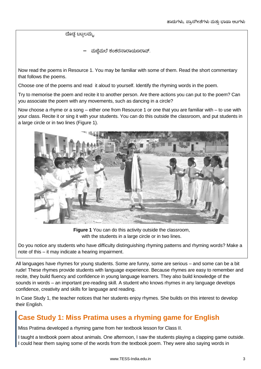ದೊಡ್ಡ ಬಟ್ಟಲಮ್ಮ.

ಮಜಿಮಲೆ ಶಂಕರನಾರಾಯಣರಾವ್.

Now read the poems in Resource 1. You may be familiar with some of them. Read the short commentary that follows the poems.

Choose one of the poems and read it aloud to yourself. Identify the rhyming words in the poem.

Try to memorise the poem and recite it to another person. Are there actions you can put to the poem? Can you associate the poem with any movements, such as dancing in a circle?

Now choose a rhyme or a song – either one from Resource 1 or one that you are familiar with – to use with your class. Recite it or sing it with your students. You can do this outside the classroom, and put students in a large circle or in two lines (Figure 1).



**Figure 1** You can do this activity outside the classroom, with the students in a large circle or in two lines.

Do you notice any students who have difficulty distinguishing rhyming patterns and rhyming words? Make a note of this – it may indicate a hearing impairment.

All languages have rhymes for young students. Some are funny, some are serious – and some can be a bit rude! These rhymes provide students with language experience. Because rhymes are easy to remember and recite, they build fluency and confidence in young language learners. They also build knowledge of the sounds in words – an important pre-reading skill. A student who knows rhymes in any language develops confidence, creativity and skills for language and reading.

In Case Study 1, the teacher notices that her students enjoy rhymes. She builds on this interest to develop their English.

## **Case Study 1: Miss Pratima uses a rhyming game for English**

Miss Pratima developed a rhyming game from her textbook lesson for Class II.

I taught a textbook poem about animals. One afternoon, I saw the students playing a clapping game outside. I could hear them saying some of the words from the textbook poem. They were also saying words in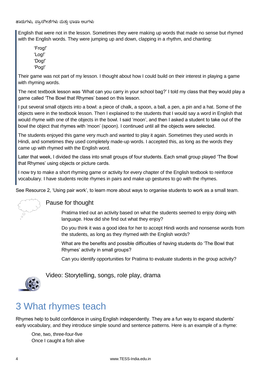English that were not in the lesson. Sometimes they were making up words that made no sense but rhymed with the English words. They were jumping up and down, clapping in a rhythm, and chanting:

'Frog!' 'Log!' 'Dog!' 'Pog!'

Their game was not part of my lesson. I thought about how I could build on their interest in playing a game with rhyming words.

The next textbook lesson was 'What can you carry in your school bag?' I told my class that they would play a game called 'The Bowl that Rhymes' based on this lesson.

I put several small objects into a bowl: a piece of chalk, a spoon, a ball, a pen, a pin and a hat. Some of the objects were in the textbook lesson. Then I explained to the students that I would say a word in English that would rhyme with one of the objects in the bowl. I said 'moon', and then I asked a student to take out of the bowl the object that rhymes with 'moon' (spoon). I continued until all the objects were selected.

The students enjoyed this game very much and wanted to play it again. Sometimes they used words in Hindi, and sometimes they used completely made-up words. I accepted this, as long as the words they came up with rhymed with the English word.

Later that week, I divided the class into small groups of four students. Each small group played 'The Bowl that Rhymes' using objects or picture cards.

I now try to make a short rhyming game or activity for every chapter of the English textbook to reinforce vocabulary. I have students recite rhymes in pairs and make up gestures to go with the rhymes.

See Resource 2, 'Using pair work', to learn more about ways to organise students to work as a small team.



### Pause for thought

Pratima tried out an activity based on what the students seemed to enjoy doing with language. How did she find out what they enjoy?

Do you think it was a good idea for her to accept Hindi words and nonsense words from the students, as long as they rhymed with the English words?

What are the benefits and possible difficulties of having students do 'The Bowl that Rhymes' activity in small groups?

Can you identify opportunities for Pratima to evaluate students in the group activity?



Video: Storytelling, songs, role play, drama

## 3 What rhymes teach

Rhymes help to build confidence in using English independently. They are a fun way to expand students' early vocabulary, and they introduce simple sound and sentence patterns. Here is an example of a rhyme:

One, two, three-four-five Once I caught a fish alive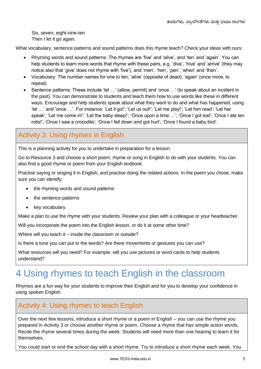Six, seven, eight-nine-ten Then I let it go again.

What vocabulary, sentence patterns and sound patterns does this rhyme teach? Check your ideas with ours:

- Rhyming words and sound patterns: The rhymes are 'five' and 'alive', and 'ten' and 'again'. You can help students to learn more words that rhyme with these pairs, e.g. 'dive', 'hive' and 'arrive' (they may notice also that 'give' does not rhyme with 'five'), and 'men', 'hen', 'pen', 'when' and 'then'.
- Vocabulary: The number names for one to ten; 'alive' (opposite of dead); 'again' (once more, to repeat).
- Sentence patterns: These include 'let …' (allow, permit) and 'once …' (to speak about an incident in the past). You can demonstrate to students and teach them how to use words like these in different ways. Encourage and help students speak about what they want to do and what has happened, using 'let …' and 'once …'. For instance: 'Let it go!'; 'Let us out!'; 'Let me play!'; 'Let him read'; 'Let her speak'; 'Let me come in!'; 'Let the baby sleep!'; 'Once upon a time ...'; 'Once I got lost'; 'Once I ate ten rotis!'; 'Once I saw a crocodile'; 'Once I fell down and got hurt'; 'Once I found a baby bird'.

## Activity 3: Using rhymes in English

This is a planning activity for you to undertake in preparation for a lesson.

Go to Resource 3 and choose a short poem, rhyme or song in English to do with your students. You can also find a good rhyme or poem from your English textbook.

Practise saying or singing it in English, and practise doing the related actions. In the poem you chose, make sure you can identify:

- the rhyming words and sound patterns
- the sentence patterns
- key vocabulary.

Make a plan to use the rhyme with your students. Review your plan with a colleague or your headteacher.

Will you incorporate the poem into the English lesson, or do it at some other time?

Where will you teach it – inside the classroom or outside?

Is there a tune you can put to the words? Are there movements or gestures you can use?

What resources will you need? For example, will you use pictures or word cards to help students understand?

## 4 Using rhymes to teach English in the classroom

Rhymes are a fun way for your students to improve their English and for you to develop your confidence in using spoken English.

### Activity 4: Using rhymes to teach English

Over the next few lessons, introduce a short rhyme or a poem in English – you can use the rhyme you prepared in Activity 3 or choose another rhyme or poem. Choose a rhyme that has simple action words. Recite the rhyme several times during the week. Students will need more than one hearing to learn it for themselves.

You could start or end the school day with a short rhyme. Try to introduce a short rhyme each week. You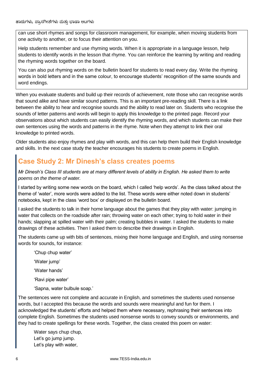can use short rhymes and songs for classroom management, for example, when moving students from one activity to another, or to focus their attention on you.

Help students remember and use rhyming words. When it is appropriate in a language lesson, help students to identify words in the lesson that rhyme. You can reinforce the learning by writing and reading the rhyming words together on the board.

You can also put rhyming words on the bulletin board for students to read every day. Write the rhyming words in bold letters and in the same colour, to encourage students' recognition of the same sounds and word endings.

When you evaluate students and build up their records of achievement, note those who can recognise words that sound alike and have similar sound patterns. This is an important pre-reading skill. There is a link between the ability to hear and recognise sounds and the ability to read later on. Students who recognise the sounds of letter patterns and words will begin to apply this knowledge to the printed page. Record your observations about which students can easily identify the rhyming words, and which students can make their own sentences using the words and patterns in the rhyme. Note when they attempt to link their oral knowledge to printed words.

Older students also enjoy rhymes and play with words, and this can help them build their English knowledge and skills. In the next case study the teacher encourages his students to create poems in English.

### **Case Study 2: Mr Dinesh's class creates poems**

*Mr Dinesh's Class III students are at many different levels of ability in English. He asked them to write poems on the theme of water.* 

I started by writing some new words on the board, which I called 'help words'. As the class talked about the theme of 'water', more words were added to the list. These words were either noted down in students' notebooks, kept in the class 'word box' or displayed on the bulletin board.

I asked the students to talk in their home language about the games that they play with water: jumping in water that collects on the roadside after rain; throwing water on each other; trying to hold water in their hands; slapping at spilled water with their palm; creating bubbles in water. I asked the students to make drawings of these activities. Then I asked them to describe their drawings in English.

The students came up with bits of sentences, mixing their home language and English, and using nonsense words for sounds, for instance:

'Chup chup water'

'Water jump'

'Water hands'

'Ravi pipe water'

'Sapna, water bulbule soap.'

The sentences were not complete and accurate in English, and sometimes the students used nonsense words, but I accepted this because the words and sounds were meaningful and fun for them. I acknowledged the students' efforts and helped them where necessary, rephrasing their sentences into complete English. Sometimes the students used nonsense words to convey sounds or environments, and they had to create spellings for these words. Together, the class created this poem on water:

Water says chup chup, Let's go jump jump. Let's play with water,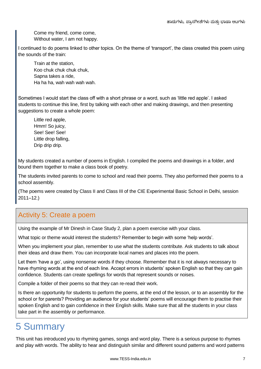Come my friend, come come, Without water, I am not happy.

I continued to do poems linked to other topics. On the theme of 'transport', the class created this poem using the sounds of the train:

Train at the station, Koo chuk chuk chuk chuk, Sapna takes a ride, Ha ha ha, wah wah wah wah.

Sometimes I would start the class off with a short phrase or a word, such as 'little red apple'. I asked students to continue this line, first by talking with each other and making drawings, and then presenting suggestions to create a whole poem:

Little red apple, Hmm! So juicy, See! See! See! Little drop falling, Drip drip drip.

My students created a number of poems in English. I compiled the poems and drawings in a folder, and bound them together to make a class book of poetry.

The students invited parents to come to school and read their poems. They also performed their poems to a school assembly.

(The poems were created by Class II and Class III of the CIE Experimental Basic School in Delhi, session 2011–12.)

## Activity 5: Create a poem

Using the example of Mr Dinesh in Case Study 2, plan a poem exercise with your class.

What topic or theme would interest the students? Remember to begin with some 'help words'.

When you implement your plan, remember to use what the students contribute. Ask students to talk about their ideas and draw them. You can incorporate local names and places into the poem.

Let them 'have a go', using nonsense words if they choose. Remember that it is not always necessary to have rhyming words at the end of each line. Accept errors in students' spoken English so that they can gain confidence. Students can create spellings for words that represent sounds or noises.

Compile a folder of their poems so that they can re-read their work.

Is there an opportunity for students to perform the poems, at the end of the lesson, or to an assembly for the school or for parents? Providing an audience for your students' poems will encourage them to practise their spoken English and to gain confidence in their English skills. Make sure that all the students in your class take part in the assembly or performance.

## 5 Summary

This unit has introduced you to rhyming games, songs and word play. There is a serious purpose to rhymes and play with words. The ability to hear and distinguish similar and different sound patterns and word patterns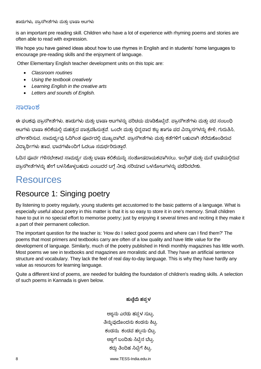is an important pre reading skill. Children who have a lot of experience with rhyming poems and stories are often able to read with expression.

We hope you have gained ideas about how to use rhymes in English and in students' home languages to encourage pre-reading skills and the enjoyment of language.

Other Elementary English teacher development units on this topic are:

- *Classroom routines*
- *Using the textbook creatively*
- *Learning English in the creative arts*
- *Letters and sounds of English.*

#### **ಸರಂಶ**

ಈ ಘಟಕವು ಪ್ರಾಸಗೀತೆಗಳು, ಹಾಡುಗಳು ಮತ್ತು ಭಾಷಾ ಆಟಗಳನ್ನು ಪರಿಚಯ ಮಾಡಿಕೊಟ್ಟಿದೆ. ಪ್ರಾಸಗೀತೆಗಳು ಮತ್ತು ಪದ ಸಂಬಂಧಿ ಆಟಗಳು ಭಾಷಾ ಕಲಿಕೆಯಲ್ಲಿ ಮಹತ್ವದ ಪಾತ್ರವಹಿಸುತ್ತವೆ. ಒಂದೇ ಮತ್ತು ಭಿನ್ನವಾದ ಶಬ್ದ ಹಾಗೂ ಪದ ವಿನ್ಯಾಸಗಳನ್ನು ಕೇಳಿ, ಗುರುತಿಸಿ, ವರ್ಗೀಕರಿಸುವ, ಸಾಮರ್ಥ್ಯವು ಓದಿಗಿಂತ ಪೂರ್ವದಲ್ಲಿ ಮುಖ್ಯವಾಗಿದೆ. ಪ್ರಾಸಗೀತೆಗಳು ಮತ್ತು ಕತೆಗಳಿಗೆ ಬಹುವಾಗಿ ತೆರೆದುಕೊಂಡಿರುವ ವಿದ್ಯಾರ್ಥಿಗಳು ಹಾವ, ಭಾವಗಳೊಂದಿಗೆ ಓದಲೂ ಸಮರ್ಥರಿರುತ್ತಾರೆ.

ಓದಿನ ಪೂರ್ವ ಗಳಿಸಬೇಕಾದ ಸಾಮರ್ಥ್ಯ ಮತ್ತು ಭಾಷಾ ಕಲಿಕೆಯನ್ನು ಸಂತೋಷದಾಯಕವಾಗಿಸಲು, ಇಂಗ್ಲಿಷ್ ಮತ್ತು ಮನೆ ಭಾಷೆಯಲ್ಲಿರುವ ಹ್ರಾಸಗೀತೆಗಳನ್ನು ಹೇಗೆ ಬಳಸಿಕೊಳ್ಳಬಹುದು ಎಂಬುದರ ಬಗ್ಗೆ ನೀವು ಸರಿಯಾದ ಒಳನೋಟಗಳನ್ನು ಪಡೆದಿರಬೇಕು.

## **Resources**

## Resource 1: Singing poetry

By listening to poetry regularly, young students get accustomed to the basic patterns of a language. What is especially useful about poetry in this matter is that it is so easy to store it in one's memory. Small children have to put in no special effort to memorise poetry; just by enjoying it several times and reciting it they make it a part of their permanent collection.

The important question for the teacher is: 'How do I select good poems and where can I find them?' The poems that most primers and textbooks carry are often of a low quality and have little value for the development of language. Similarly, much of the poetry published in Hindi monthly magazines has little worth. Most poems we see in textbooks and magazines are moralistic and dull. They have an artificial sentence structure and vocabulary. They lack the feel of real day-to-day language. This is why they have hardly any value as resources for learning language.

Quite a different kind of poems, are needed for building the foundation of children's reading skills. A selection of such poems in Kannada is given below.

#### **ಹುಣ್ಣಿಮೆ ಹಪಪಳ**

ಅಜ್ಿನು ಎರಡು ಸಳ ಷುಟು, ತಿನ್ನುವುದೊಂದನು ಕಂಡನು ಕಿಟ್ಟ. ಕಂಡನು; ಕಂಡವ ಹಲ್ಲನು ಬಿಟ್ರ, ಅಜ್ಿಗೆ ಬಂದ್ಧತು ಸಿಟಿುನ ಬೆಟು, ಕದ್ದು ತಿಂದಿಹ ಸಿಟ್ಟಿಗೆ ಕಿಟ್ಟ

8 www.TESS-India.edu.in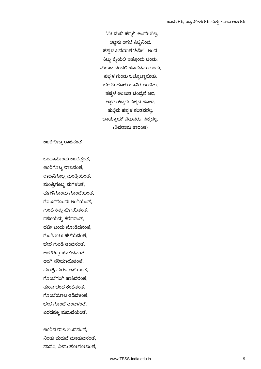'ನೀ ಮುದ್ಧ ಸದುದ!' ಅಂದೆೀ ಬಿಟು, ಅಜ್ಜನು ಆಗಲೆ ಸಿಟ್ಟಿನಿಂದ, ಹಪ್ಪಳ ಎಸೆಯುತ 'ಹಿಡೀ' ಅಂದ. ಕಿಟ್ಟು ಕೈಯಲಿ ಇತ್ತೊಂದು ಚಂಡು, ಮೇಣದ ಚಂಡಲಿ ಹೊಡೆದನು ಗುಂಡು, ಹಪ್ಪಳ ಗುಂಡು ಒಟ್ಟೊಟ್ಟಾಯಿತು, ಬೇಗದಿ ಹೋಗಿ ಬಾನಿಗೆ ಅಂಟಿತು, ಹಪ್ಗಳ ಅಂಟುತ ಚಂದ್ರನೆ ಆದ, ಅಜ್ಜಗು ಕಿಟ್ಟಗು ಸಿಕ್ಕದೆ ಹೋದ, ಹುಣ್ಣಿಮೆ ಹಪ್ಪಳ ಕಂಡವರೆಲ್ಲ. ಬಾಯ್ಬಾಯ್ ಬಿಡುವರು, ಸಿಕ್ಕದಲ್ಲ. (ಶಿವರಾಮ ಕಾರಂತ)

#### **ಊರಿಗ್ಮಬ್ಬ ರಜನ್ಂತ್**

ಒಂದಹನೆ ಂದು ಊರಿತುಂತೆ**,** ಊರಿಗೆ ಬಾ ರಹಜ್ನಂತೆ**,** ರಹಜ್ ಗೆ ಬಾ ಮಂತ್ತರಯಂತೆ**,** ಮಂತ್ತರಗೆ ಬಾ ಮಗಳಂತೆ**,** ಮಗಳಿಗೆ ಂದು ಗೆ ಂಬೆಯಂತೆ**,** ಗೆ ಂಬೆಗೆ ಂದು ಅಂಗಯಂತೆ**,** ಗುಂಡಿ ಕ್ರತುು ಹೆ ೀಯಿತಂತೆ**,** ದಜ್ಜಿಯನುನ ಕ್ರೆದರಂತೆ**,** ದಜ್ಜಿ ಬಂದು ನೆ ೀಡಿದನಂತೆ**,** ಗುಂಡಿ ಬಲು ಸಳೆಯದಂತೆ**,** ಬೆೀರೆ ಗುಂಡಿ ತಂದನಂತೆ**,** ಅಂಗಗಟುು ಹೆ ಲ್ಲದನಂತೆ**,** ಅಂಗ ಷರಿಯಹಯಿತಂತೆ**,** ಮಂತ್ತರ ಮಗಳ ಆಸೆಯಂತೆ**,** ಗೆ ಂಬೆಗಂಗ ಹಹಕ್ರದರಂತೆ**,** ತುಂಬ ಚಂದ ಕ್ಂಡಿತಂತೆ**,** ಗೆ ಂಬೆಯಹಟ ಆಡಿದಳಂತೆ**,** ಬೆೀರೆ ಗೆ ಂಬೆ ತಂದಳಂತೆ**,** ಎರಡಕ್ಕೂ ಮದುವೆಯಂತೆ**.** 

ಊರಿನ ರಹಜ್ ಬಂದನಂತೆ**,** ನಂತು ಮದುವೆ ಮಹಡುನಂತೆ**,** ನಹನ **,** ನೀನು ಹೆ ೀಗೆ ೀಣಂತೆ**,**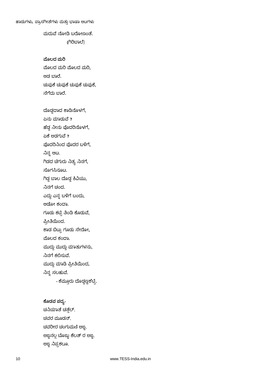### ಮದುವೆ ನೆ ೀಡಿ ಬರೆ ೀಣಂತೆ**. (**ಗರಿಬಹಲ್ೆ)

**ಮೊಲದ ಮರಿ** ಮೊಲದ ಮರಿ ಮೊಲದ ಮರಿ**,** ಆಡ ಬಹರೆ**.** ಚುುಕ್ೆ ಚುುಕ್ೆ ಚುುಕ್ೆ ಚುುಕ್ೆ**,** ನೆಗೆದು ಬಹರೆ**.**

ದೆ ಡಡದಹದ ಕ್ಹಡಿನೆ ಳಗೆ**,** ಏನು ಮಹಡುವೆ **?** ಹೆಡಡ ನೀನು ದರಿನೆ ಳಗೆ**,** ಏಕ್ೆ ಅಡಗುವೆ **?** ದರಿನಂದ ದರ ಬಳಿಗೆ**,** ನನನ ಆಟ**.** ಗಿಡದ ಚೆಗುರು ನಿತ್ಯ ನಿನಗೆ, ಸೆ ಗಸಿನ ಟ**.** ಗಡಡ ಬಹಲ ದೆ ಡಡ ಕ್ರವಿಯು**,** ನನಗೆ ಚಂದ**.** ಎದುದ ಎನನ ಬಳಿಗೆ ಬಂದು**,** ಆದೋ ಕಂದಾ.

ಗ ಡು ಕ್ಟಿು ತ್ತಂಡಿ ಕ್ೆ ಡುವೆ**,**

ಪಿರೀತ್ತಯಿಂದ**.**

ಕಾಡ ಬಿಟ್ಟು ಗೂಡು ಸೇರೋ,

ಮೊಲದ ಕಂದಾ.

ಮುದುದ ಮುದುದ ಮಹತುಗಳನು**,**

ನನಗೆ ಕ್ಲ್ಲಷುವೆ**.**

ಮುದುದ ಮಹಡಿ ಪಿರೀತ್ತಯಿಂದ**,**

ನನನ ಷಲಸುವೆ**.**

 **-** ಕ್ೆಮ ುರು ದೆ ಡಡಣಿಶೆಟಿು**.**

#### **-**

ಚನಿಯಾತೆ ಚತ್ತೆಲ್, ಚವರ ಮೂಡನ್, ಚವರೀರ ಚಂಗುಮಣಿ ಅಜ್ಜ. ಅಜ್ಜನಲ್ಲ ಬೊಜ್ಜು ಕೆಲತ್ ರ ಅಜ್ಜ, ಅಜ್ಜ ನಿಪ್ಪಕಲೂ,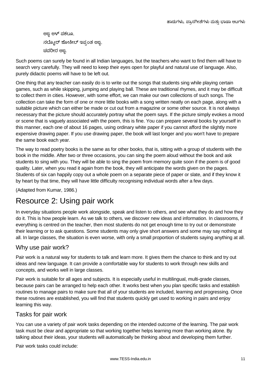ಅಜ್ಜ ಅಳ್ ಪಕಲೂ, ನಲ್ಮೋರ್ ಶೋಕೀಲ್ ಇಪ್ಪಂತ ಅಜ್ಜಿ, ಚವರೀರ ಅಜ.

Such poems can surely be found in all Indian languages, but the teachers who want to find them will have to search very carefully. They will need to keep their eyes open for playful and natural use of language. Also, purely didactic poems will have to be left out.

One thing that any teacher can easily do is to write out the songs that students sing while playing certain games, such as while skipping, jumping and playing ball. These are traditional rhymes, and it may be difficult to collect them in cities. However, with some effort, we can make our own collections of such songs. The collection can take the form of one or more little books with a song written neatly on each page, along with a suitable picture which can either be made or cut out from a magazine or some other source. It is not always necessary that the picture should accurately portray what the poem says. If the picture simply evokes a mood or scene that is vaguely associated with the poem, this is fine. You can prepare several books by yourself in this manner, each one of about 16 pages, using ordinary white paper if you cannot afford the slightly more expensive drawing paper. If you use drawing paper, the book will last longer and you won't have to prepare the same book each year.

The way to read poetry books is the same as for other books, that is, sitting with a group of students with the book in the middle. After two or three occasions, you can sing the poem aloud without the book and ask students to sing with you. They will be able to sing the poem from memory quite soon if the poem is of good quality. Later, when you read it again from the book, they will anticipate the words given on the pages. Students of six can happily copy out a whole poem on a separate piece of paper or slate, and if they know it by heart by that time, they will have little difficulty recognising individual words after a few days.

(Adapted from Kumar, 1986.)

## Resource 2: Using pair work

In everyday situations people work alongside, speak and listen to others, and see what they do and how they do it. This is how people learn. As we talk to others, we discover new ideas and information. In classrooms, if everything is centred on the teacher, then most students do not get enough time to try out or demonstrate their learning or to ask questions. Some students may only give short answers and some may say nothing at all. In large classes, the situation is even worse, with only a small proportion of students saying anything at all.

#### Why use pair work?

Pair work is a natural way for students to talk and learn more. It gives them the chance to think and try out ideas and new language. It can provide a comfortable way for students to work through new skills and concepts, and works well in large classes.

Pair work is suitable for all ages and subjects. It is especially useful in multilingual, multi-grade classes, because pairs can be arranged to help each other. It works best when you plan specific tasks and establish routines to manage pairs to make sure that all of your students are included, learning and progressing. Once these routines are established, you will find that students quickly get used to working in pairs and enjoy learning this way.

#### Tasks for pair work

You can use a variety of pair work tasks depending on the intended outcome of the learning. The pair work task must be clear and appropriate so that working together helps learning more than working alone. By talking about their ideas, your students will automatically be thinking about and developing them further.

Pair work tasks could include: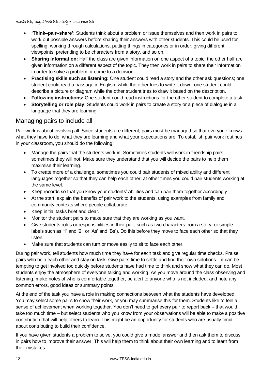- **'Think–pair–share':** Students think about a problem or issue themselves and then work in pairs to work out possible answers before sharing their answers with other students. This could be used for spelling, working through calculations, putting things in categories or in order, giving different viewpoints, pretending to be characters from a story, and so on.
- **Sharing information:** Half the class are given information on one aspect of a topic; the other half are given information on a different aspect of the topic. They then work in pairs to share their information in order to solve a problem or come to a decision.
- **Practising skills such as listening:** One student could read a story and the other ask questions; one student could read a passage in English, while the other tries to write it down; one student could describe a picture or diagram while the other student tries to draw it based on the description.
- **Following instructions:** One student could read instructions for the other student to complete a task.
- **Storytelling or role play:** Students could work in pairs to create a story or a piece of dialogue in a language that they are learning.

### Managing pairs to include all

Pair work is about involving all. Since students are different, pairs must be managed so that everyone knows what they have to do, what they are learning and what your expectations are. To establish pair work routines in your classroom, you should do the following:

- Manage the pairs that the students work in. Sometimes students will work in friendship pairs; sometimes they will not. Make sure they understand that you will decide the pairs to help them maximise their learning.
- To create more of a challenge, sometimes you could pair students of mixed ability and different languages together so that they can help each other; at other times you could pair students working at the same level.
- Keep records so that you know your students' abilities and can pair them together accordingly.
- At the start, explain the benefits of pair work to the students, using examples from family and community contexts where people collaborate.
- Keep initial tasks brief and clear.
- Monitor the student pairs to make sure that they are working as you want.
- Give students roles or responsibilities in their pair, such as two characters from a story, or simple labels such as '1' and '2', or 'As' and 'Bs'). Do this before they move to face each other so that they listen.
- Make sure that students can turn or move easily to sit to face each other.

During pair work, tell students how much time they have for each task and give regular time checks. Praise pairs who help each other and stay on task. Give pairs time to settle and find their own solutions – it can be tempting to get involved too quickly before students have had time to think and show what they can do. Most students enjoy the atmosphere of everyone talking and working. As you move around the class observing and listening, make notes of who is comfortable together, be alert to anyone who is not included, and note any common errors, good ideas or summary points.

At the end of the task you have a role in making connections between what the students have developed. You may select some pairs to show their work, or you may summarise this for them. Students like to feel a sense of achievement when working together. You don't need to get every pair to report back – that would take too much time – but select students who you know from your observations will be able to make a positive contribution that will help others to learn. This might be an opportunity for students who are usually timid about contributing to build their confidence.

If you have given students a problem to solve, you could give a model answer and then ask them to discuss in pairs how to improve their answer. This will help them to think about their own learning and to learn from their mistakes.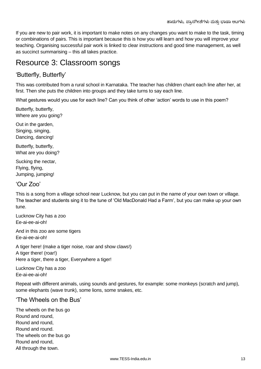If you are new to pair work, it is important to make notes on any changes you want to make to the task, timing or combinations of pairs. This is important because this is how you will learn and how you will improve your teaching. Organising successful pair work is linked to clear instructions and good time management, as well as succinct summarising – this all takes practice.

## Resource 3: Classroom songs

### 'Butterfly, Butterfly'

This was contributed from a rural school in Karnataka. The teacher has children chant each line after her, at first. Then she puts the children into groups and they take turns to say each line.

What gestures would you use for each line? Can you think of other 'action' words to use in this poem?

Butterfly, butterfly, Where are you going?

Out in the garden, Singing, singing, Dancing, dancing!

Butterfly, butterfly, What are you doing?

Sucking the nectar, Flying, flying, Jumping, jumping!

#### 'Our Zoo'

This is a song from a village school near Lucknow, but you can put in the name of your own town or village. The teacher and students sing it to the tune of 'Old MacDonald Had a Farm', but you can make up your own tune.

Lucknow City has a zoo Ee-ai-ee-ai-oh!

And in this zoo are some tigers Ee-ai-ee-ai-oh!

A tiger here! (make a tiger noise, roar and show claws!) A tiger there! (roar!) Here a tiger, there a tiger, Everywhere a tiger!

Lucknow City has a zoo Ee-ai-ee-ai-oh!

Repeat with different animals, using sounds and gestures, for example: some monkeys (scratch and jump), some elephants (wave trunk), some lions, some snakes, etc.

#### 'The Wheels on the Bus'

The wheels on the bus go Round and round, Round and round, Round and round. The wheels on the bus go Round and round, All through the town.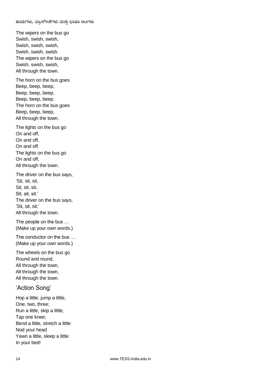The wipers on the bus go Swish, swish, swish, Swish, swish, swish, Swish, swish, swish. The wipers on the bus go Swish, swish, swish, All through the town.

The horn on the bus goes Beep, beep, beep, Beep, beep, beep, Beep, beep, beep. The horn on the bus goes Beep, beep, beep, All through the town.

The lights on the bus go On and off, On and off, On and off. The lights on the bus go On and off, All through the town.

The driver on the bus says, 'Sit, sit, sit, Sit, sit, sit, Sit, sit, sit.' The driver on the bus says, 'Sit, sit, sit,' All through the town.

The people on the bus … (Make up your own words.)

The conductor on the bus … (Make up your own words.)

The wheels on the bus go Round and round, All through the town, All through the town, All through the town.

### 'Action Song'

Hop a little, jump a little, One, two, three; Run a little, skip a little, Tap one knee; Bend a little, stretch a little Nod your head Yawn a little, sleep a little In your bed!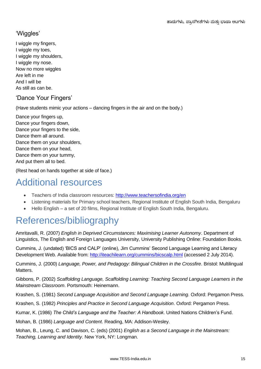### 'Wiggles'

I wiggle my fingers, I wiggle my toes, I wiggle my shoulders, I wiggle my nose. Now no more wiggles Are left in me And I will be As still as can be.

### 'Dance Your Fingers'

(Have students mimic your actions – dancing fingers in the air and on the body.)

Dance your fingers up, Dance your fingers down, Dance your fingers to the side, Dance them all around. Dance them on your shoulders, Dance them on your head, Dance them on your tummy, And put them all to bed.

(Rest head on hands together at side of face.)

## Additional resources

- Teachers of India classroom resources:<http://www.teachersofindia.org/en>
- Listening materials for Primary school teachers, Regional Institute of English South India, Bengaluru
- Hello English a set of 20 films, Regional Institute of English South India, Bengaluru.

## References/bibliography

Amritavalli, R. (2007) *English in Deprived Circumstances: Maximising Learner Autonomy*. Department of Linguistics, The English and Foreign Languages University, University Publishing Online: Foundation Books.

Cummins, J. (undated) 'BICS and CALP' (online), Jim Cummins' Second Language Learning and Literacy Development Web. Available from:<http://iteachilearn.org/cummins/bicscalp.html> (accessed 2 July 2014).

Cummins, J. (2000) *Language, Power, and Pedagogy: Bilingual Children in the Crossfire*. Bristol: Multilingual Matters.

Gibbons, P. (2002) *Scaffolding Language, Scaffolding Learning: Teaching Second Language Learners in the Mainstream Classroom*. Portsmouth: Heinemann.

Krashen, S. (1981) *Second Language Acquisition and Second Language Learning*. Oxford: Pergamon Press.

Krashen, S. (1982) *Principles and Practice in Second Language Acquisition*. Oxford: Pergamon Press.

Kumar, K. (1986) *The Child's Language and the Teacher: A Handbook*. United Nations Children's Fund.

Mohan, B. (1986) *Language and Content*. Reading, MA: Addison-Wesley.

Mohan, B., Leung, C. and Davison, C. (eds) (2001) *English as a Second Language in the Mainstream: Teaching, Learning and Identity*. New York, NY: Longman.